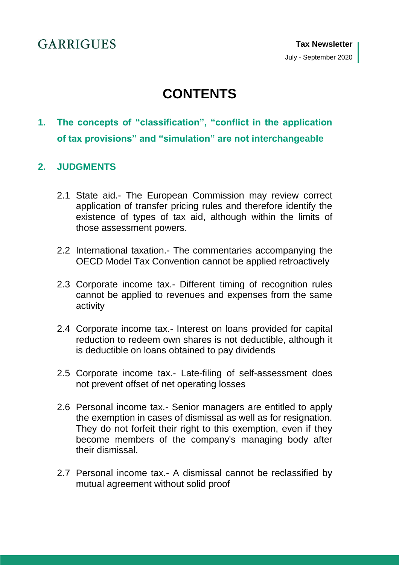# **CONTENTS**

**1. [The concepts of "classification", "conflict in the application](#page-7-0)  [of tax provisions" and "simulation" are not interchangeable](#page-7-0)**

## **2. [JUDGMENTS](#page-8-0)**

- 2.1 State aid.- [The European Commission may review correct](#page-8-1)  [application of transfer pricing rules and therefore identify the](#page-8-1)  [existence of types of tax aid, although](#page-8-1) within the limits of [those assessment powers.](#page-8-1)
- 2.2 International taxation.- [The commentaries accompanying the](#page-8-2)  [OECD Model Tax Convention cannot be applied retroactively](#page-8-2)
- 2.3 Corporate income tax.- [Different timing of recognition rules](#page-9-0)  [cannot be applied to revenues and expenses from the same](#page-9-0)  [activity](#page-9-0)
- 2.4 Corporate income tax.- [Interest on loans provided for capital](#page-9-1)  [reduction to redeem own shares is not deductible, although it](#page-9-1)  [is deductible on loans obtained to pay dividends](#page-9-1)
- 2.5 Corporate income tax.- [Late-filing of self-assessment does](#page-10-0)  [not prevent offset of net operating losses](#page-10-0)
- 2.6 Personal income tax.- [Senior managers are entitled to apply](#page-10-1)  [the exemption in cases of dismissal as well as for resignation.](#page-10-1)  [They do not forfeit their right to this exemption, even if they](#page-10-1)  [become members of the company's managing body after](#page-10-1)  [their dismissal.](#page-10-1)
- 2.7 Personal income tax.- [A dismissal cannot be reclassified by](#page-11-0)  [mutual agreement without solid proof](#page-11-0)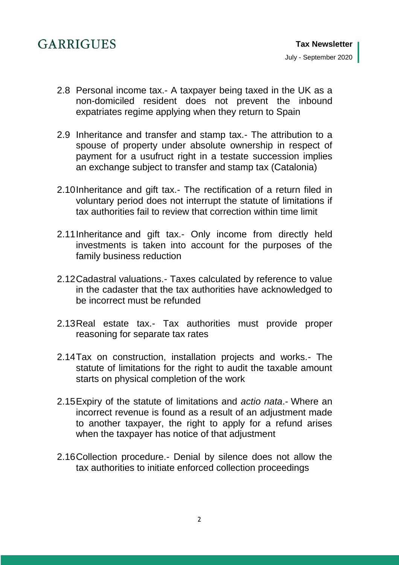- 2.8 Personal income tax.- [A taxpayer being taxed in the UK as a](#page-12-0)  [non-domiciled resident does not prevent the inbound](#page-12-0)  [expatriates regime applying when they return to Spain](#page-12-0)
- 2.9 [Inheritance and transfer and stamp tax.-](#page-13-0) The attribution to a [spouse of property under absolute ownership in respect of](#page-13-0)  [payment for a usufruct right in a testate succession implies](#page-13-0)  [an exchange subject to transfer and stamp tax \(Catalonia\)](#page-13-0)
- 2.10Inheritance and gift tax.- [The rectification of a return filed in](#page-13-1)  [voluntary period does not interrupt the statute of limitations if](#page-13-1)  [tax authorities fail to review that correction within time limit](#page-13-1)
- 2.11Inheritance and gift tax.- [Only income from directly held](#page-14-0)  [investments is taken into account for the purposes of the](#page-14-0)  [family business reduction](#page-14-0)
- 2.12Cadastral valuations.- [Taxes calculated by reference to value](#page-14-1)  [in the cadaster that the tax authorities have acknowledged to](#page-14-1)  [be incorrect must be refunded](#page-14-1)
- 2.13Real estate tax.- [Tax authorities must provide proper](#page-15-0)  [reasoning for separate tax rates](#page-15-0)
- [2.14Tax on construction, installation projects and works.-](#page-15-1) The [statute of limitations for the right to audit the taxable amount](#page-15-1)  [starts on physical completion of the work](#page-15-1)
- [2.15Expiry of the statute of limitations and](#page-15-2) *actio nata*.- Where an [incorrect revenue is found as a result of an adjustment made](#page-15-2)  [to another taxpayer, the right to apply for a refund arises](#page-15-2)  [when the taxpayer has notice of that adjustment](#page-15-2)
- 2.16Collection procedure.- [Denial by silence does not allow the](#page-16-0)  [tax authorities to initiate enforced collection proceedings](#page-16-0)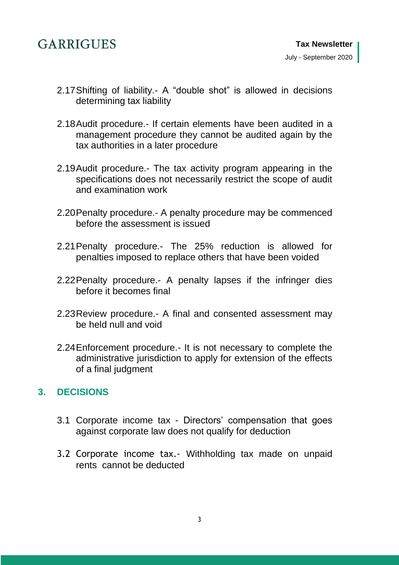- 2.17Shifting of liability.- [A "double shot" is allowed in decisions](#page-16-1)  [determining tax liability](#page-16-1)
- 2.18Audit procedure.- [If certain elements have been audited in a](#page-17-0)  [management procedure they cannot be audited again by the](#page-17-0)  [tax authorities in a later procedure](#page-17-0)
- 2.19Audit procedure.- [The tax activity program appearing in the](#page-17-1)  [specifications does not necessarily restrict the scope of audit](#page-17-1)  [and examination work](#page-17-1)
- 2.20Penalty procedure.- [A penalty procedure may be commenced](#page-17-2)  [before the assessment is issued](#page-17-2)
- 2.21Penalty procedure.- [The 25% reduction is allowed for](#page-18-0)  [penalties imposed to replace others that have been voided](#page-18-0)
- 2.22Penalty procedure.- [A penalty lapses if the infringer dies](#page-18-1)  [before it becomes final](#page-18-1)
- 2.23Review procedure.- [A final and consented assessment may](#page-18-2)  [be held null and void](#page-18-2)
- 2.24Enforcement procedure.- [It is not necessary to complete the](#page-19-0)  [administrative jurisdiction to apply for extension of the effects](#page-19-0)  [of a final judgment](#page-19-0)

## **3. [DECISIONS](#page-20-0)**

- 3.1 Corporate income tax [Directors' compensation that goes](#page-20-1)  [against corporate law does not qualify for deduction](#page-20-1)
- 3.2 Corporate income tax.- [Withholding tax made on unpaid](#page-20-2)  [rents cannot be deducted](#page-20-2)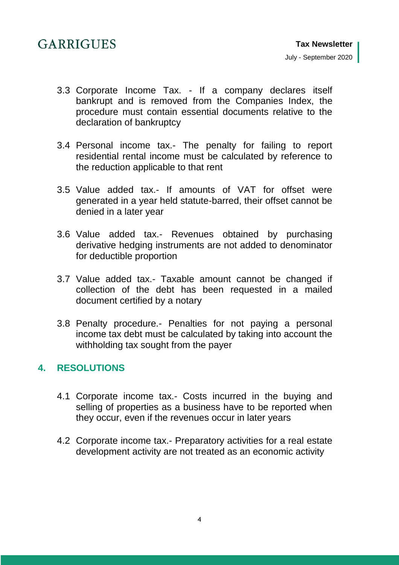- 3.3 Corporate Income Tax. [If a company declares itself](#page-20-3)  [bankrupt and is removed from the Companies Index,](#page-20-3) the [procedure must contain essential documents relative to the](#page-20-3)  [declaration of bankruptcy](#page-20-3)
- 3.4 Personal income tax.- [The penalty for failing to report](#page-21-0)  [residential rental income must be calculated by reference to](#page-21-0)  [the reduction applicable to that rent](#page-21-0)
- 3.5 Value added tax.- [If amounts of VAT for offset were](#page-21-1)  [generated in a year held statute-barred, their offset cannot be](#page-21-1)  [denied in a later year](#page-21-1)
- 3.6 Value added tax.- [Revenues obtained by purchasing](#page-22-0)  [derivative hedging instruments are not added to denominator](#page-22-0)  [for deductible proportion](#page-22-0)
- 3.7 Value added tax.- [Taxable amount cannot be changed if](#page-22-1)  [collection of the debt has been requested in a mailed](#page-22-1)  [document certified by a notary](#page-22-1)
- 3.8 Penalty procedure.- [Penalties for not paying a personal](#page-23-0)  [income tax debt must be calculated by taking into account the](#page-23-0)  [withholding tax sought from the payer](#page-23-0)

## **4. [RESOLUTIONS](#page-24-0)**

- 4.1 Corporate income tax.- [Costs incurred in the buying and](#page-24-1)  [selling of properties as a business have to be reported when](#page-24-1)  [they occur, even if the revenues occur in later years](#page-24-1)
- 4.2 Corporate income tax.- [Preparatory activities for a real estate](#page-24-2)  [development activity are not treated as an economic activity](#page-24-2)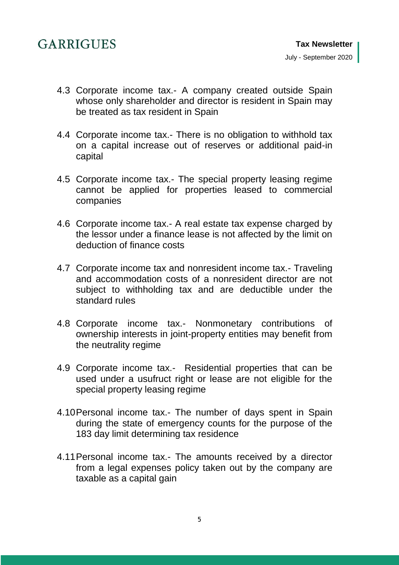- 4.3 Corporate income tax.- [A company created outside Spain](#page-25-0)  [whose only shareholder and director is resident in Spain may](#page-25-0)  [be treated as tax resident in Spain](#page-25-0)
- 4.4 Corporate income tax.- [There is no obligation to withhold tax](#page-25-1)  [on a capital increase out of reserves or additional paid-in](#page-25-1)  [capital](#page-25-1)
- 4.5 Corporate income tax.- [The special property leasing regime](#page-26-0)  [cannot be applied for properties leased to commercial](#page-26-0)  [companies](#page-26-0)
- 4.6 Corporate income tax.- [A real estate tax expense charged by](#page-26-1)  the [lessor under a finance lease is not affected by the limit on](#page-26-1)  [deduction of finance costs](#page-26-1)
- 4.7 [Corporate income tax and nonresident income tax.-](#page-27-0) Traveling [and accommodation costs of a nonresident director are not](#page-27-0)  [subject to withholding tax and are deductible under the](#page-27-0)  [standard rules](#page-27-0)
- 4.8 Corporate income tax.- [Nonmonetary contributions of](#page-27-1)  [ownership interests in joint-property entities may benefit from](#page-27-1)  [the neutrality regime](#page-27-1)
- 4.9 [Corporate income tax.- Residential properties that can be](#page-28-0)  [used under a usufruct right or lease are not eligible for the](#page-28-0)  [special property leasing regime](#page-28-0)
- 4.10Personal income tax.- [The number of days spent in Spain](#page-28-1)  [during the state of emergency counts for the purpose of the](#page-28-1)  [183 day limit determining tax residence](#page-28-1)
- 4.11Personal income tax.- [The amounts received by a director](#page-28-2)  [from a legal expenses policy taken out by the company are](#page-28-2)  [taxable as a capital gain](#page-28-2)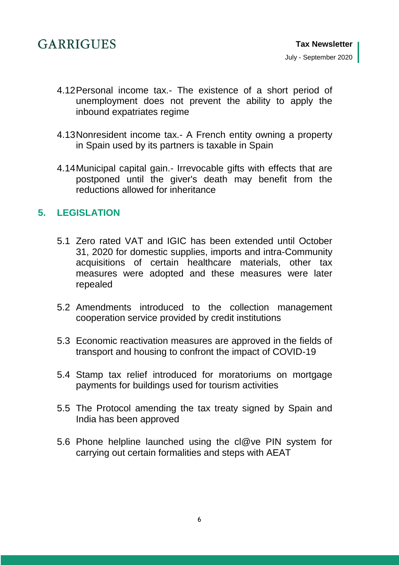- 4.12Personal income tax.- [The existence of a short period of](#page-29-0)  [unemployment does not prevent the ability to apply the](#page-29-0)  [inbound expatriates regime](#page-29-0)
- 4.13Nonresident income tax.- [A French entity owning a property](#page-29-1)  [in Spain used by its partners is taxable in Spain](#page-29-1)
- 4.14Municipal capital gain.- [Irrevocable gifts with effects that are](#page-30-0)  [postponed until the giver's death may benefit from the](#page-30-0)  [reductions allowed for inheritance](#page-30-0)

## **5. [LEGISLATION](#page-30-1)**

- 5.1 [Zero rated VAT and IGIC has been extended until October](#page-30-2)  [31, 2020 for domestic supplies, imports and intra-Community](#page-30-2)  [acquisitions of certain healthcare materials, other tax](#page-30-2)  [measures were adopted and these measures were later](#page-30-2)  [repealed](#page-30-2)
- 5.2 [Amendments introduced to the collection management](#page-31-0)  [cooperation service provided by credit institutions](#page-31-0)
- 5.3 [Economic reactivation measures are approved in the fields of](#page-31-1)  [transport and housing to confront the impact of COVID-19](#page-31-1)
- 5.4 [Stamp tax relief introduced for moratoriums on mortgage](#page-32-0)  [payments for buildings used for tourism activities](#page-32-0)
- 5.5 [The Protocol amending the tax treaty signed by Spain and](#page-32-1)  [India has been approved](#page-32-1)
- 5.6 [Phone helpline launched using the cl@ve PIN system for](#page-33-0)  [carrying out certain formalities and steps with AEAT](#page-33-0)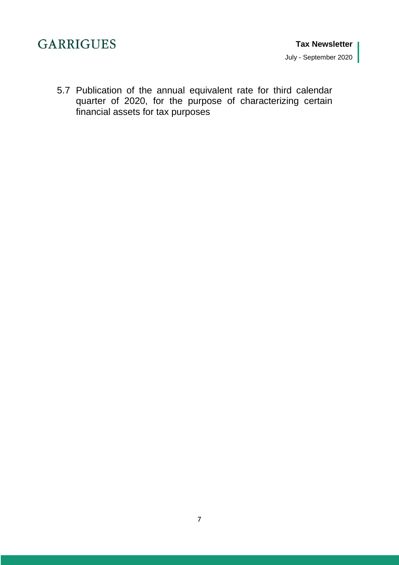5.7 [Publication of the annual equivalent rate for third calendar](#page-33-1)  [quarter of 2020, for the purpose of characterizing certain](#page-33-1)  [financial assets for tax purposes](#page-33-1)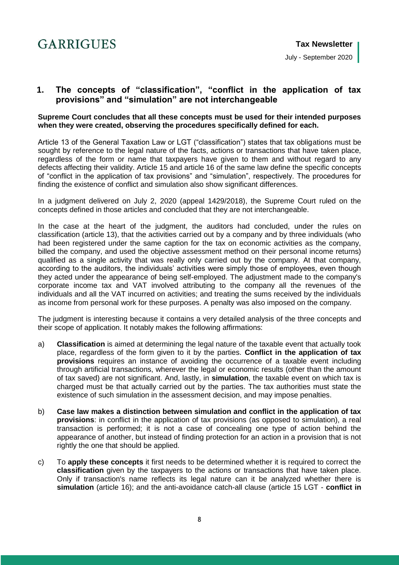

## <span id="page-7-0"></span>**1. The concepts of "classification", "conflict in the application of tax provisions" and "simulation" are not interchangeable**

#### **Supreme Court concludes that all these concepts must be used for their intended purposes when they were created, observing the procedures specifically defined for each.**

Article 13 of the General Taxation Law or LGT ("classification") states that tax obligations must be sought by reference to the legal nature of the facts, actions or transactions that have taken place, regardless of the form or name that taxpayers have given to them and without regard to any defects affecting their validity. Article 15 and article 16 of the same law define the specific concepts of "conflict in the application of tax provisions" and "simulation", respectively. The procedures for finding the existence of conflict and simulation also show significant differences.

In a judgment delivered on July 2, 2020 (appeal 1429/2018), the Supreme Court ruled on the concepts defined in those articles and concluded that they are not interchangeable.

In the case at the heart of the judgment, the auditors had concluded, under the rules on classification (article 13), that the activities carried out by a company and by three individuals (who had been registered under the same caption for the tax on economic activities as the company, billed the company, and used the objective assessment method on their personal income returns) qualified as a single activity that was really only carried out by the company. At that company, according to the auditors, the individuals' activities were simply those of employees, even though they acted under the appearance of being self-employed. The adjustment made to the company's corporate income tax and VAT involved attributing to the company all the revenues of the individuals and all the VAT incurred on activities; and treating the sums received by the individuals as income from personal work for these purposes. A penalty was also imposed on the company.

The judgment is interesting because it contains a very detailed analysis of the three concepts and their scope of application. It notably makes the following affirmations:

- a) **Classification** is aimed at determining the legal nature of the taxable event that actually took place, regardless of the form given to it by the parties. **Conflict in the application of tax provisions** requires an instance of avoiding the occurrence of a taxable event including through artificial transactions, wherever the legal or economic results (other than the amount of tax saved) are not significant. And, lastly, in **simulation**, the taxable event on which tax is charged must be that actually carried out by the parties. The tax authorities must state the existence of such simulation in the assessment decision, and may impose penalties.
- b) **Case law makes a distinction between simulation and conflict in the application of tax provisions**: in conflict in the application of tax provisions (as opposed to simulation), a real transaction is performed; it is not a case of concealing one type of action behind the appearance of another, but instead of finding protection for an action in a provision that is not rightly the one that should be applied.
- c) To **apply these concepts** it first needs to be determined whether it is required to correct the **classification** given by the taxpayers to the actions or transactions that have taken place. Only if transaction's name reflects its legal nature can it be analyzed whether there is **simulation** (article 16); and the anti-avoidance catch-all clause (article 15 LGT - **conflict in**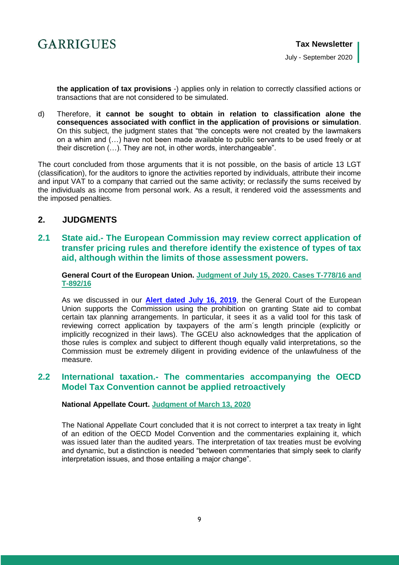

July - September 2020

**the application of tax provisions** -) applies only in relation to correctly classified actions or transactions that are not considered to be simulated.

d) Therefore, **it cannot be sought to obtain in relation to classification alone the consequences associated with conflict in the application of provisions or simulation**. On this subject, the judgment states that "the concepts were not created by the lawmakers on a whim and (…) have not been made available to public servants to be used freely or at their discretion (…). They are not, in other words, interchangeable".

The court concluded from those arguments that it is not possible, on the basis of article 13 LGT (classification), for the auditors to ignore the activities reported by individuals, attribute their income and input VAT to a company that carried out the same activity; or reclassify the sums received by the individuals as income from personal work. As a result, it rendered void the assessments and the imposed penalties.

## <span id="page-8-0"></span>**2. JUDGMENTS**

<span id="page-8-1"></span>**2.1 State aid.- The European Commission may review correct application of transfer pricing rules and therefore identify the existence of types of tax aid, although within the limits of those assessment powers.**

**General Court of the European Union. [Judgment of July 15, 2020.](http://curia.europa.eu/juris/liste.jsf?num=T-778/16&language=es) Cases T-778/16 and T-892/16**

As we discussed in our **[Alert dated July 16, 2019](https://www.garrigues.com/en_GB/new/apple-case-general-court-european-union-limits-control-over-state-aid)**, the General Court of the European Union supports the Commission using the prohibition on granting State aid to combat certain tax planning arrangements. In particular, it sees it as a valid tool for this task of reviewing correct application by taxpayers of the arm´s length principle (explicitly or implicitly recognized in their laws). The GCEU also acknowledges that the application of those rules is complex and subject to different though equally valid interpretations, so the Commission must be extremely diligent in providing evidence of the unlawfulness of the measure.

## <span id="page-8-2"></span>**2.2 International taxation.- The commentaries accompanying the OECD Model Tax Convention cannot be applied retroactively**

#### **National Appellate Court. [Judgment of March 13, 2020](http://www.poderjudicial.es/search/AN/openDocument/4a1034d10ecd6d44/20200618)**

The National Appellate Court concluded that it is not correct to interpret a tax treaty in light of an edition of the OECD Model Convention and the commentaries explaining it, which was issued later than the audited years. The interpretation of tax treaties must be evolving and dynamic, but a distinction is needed "between commentaries that simply seek to clarify interpretation issues, and those entailing a major change".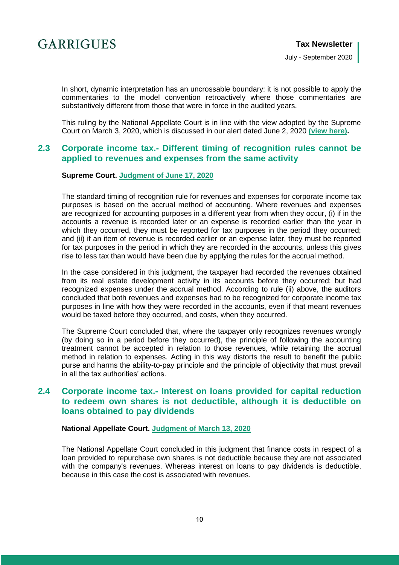

In short, dynamic interpretation has an uncrossable boundary: it is not possible to apply the commentaries to the model convention retroactively where those commentaries are substantively different from those that were in force in the audited years.

This ruling by the National Appellate Court is in line with the view adopted by the Supreme Court on March 3, 2020, which is discussed in our alert dated June 2, 2020 **[\(view here\)](https://www.garrigues.com/en_GB/new/spanish-supreme-court-tax-treaties-cannot-be-interpreted-later-model-conventions-and-their).**

## <span id="page-9-0"></span>**2.3 Corporate income tax.- Different timing of recognition rules cannot be applied to revenues and expenses from the same activity**

#### **Supreme Court. [Judgment of June 17, 2020](http://www.poderjudicial.es/search/AN/openDocument/592f4dc7b67d6045/20200629)**

The standard timing of recognition rule for revenues and expenses for corporate income tax purposes is based on the accrual method of accounting. Where revenues and expenses are recognized for accounting purposes in a different year from when they occur, (i) if in the accounts a revenue is recorded later or an expense is recorded earlier than the year in which they occurred, they must be reported for tax purposes in the period they occurred; and (ii) if an item of revenue is recorded earlier or an expense later, they must be reported for tax purposes in the period in which they are recorded in the accounts, unless this gives rise to less tax than would have been due by applying the rules for the accrual method.

In the case considered in this judgment, the taxpayer had recorded the revenues obtained from its real estate development activity in its accounts before they occurred; but had recognized expenses under the accrual method. According to rule (ii) above, the auditors concluded that both revenues and expenses had to be recognized for corporate income tax purposes in line with how they were recorded in the accounts, even if that meant revenues would be taxed before they occurred, and costs, when they occurred.

The Supreme Court concluded that, where the taxpayer only recognizes revenues wrongly (by doing so in a period before they occurred), the principle of following the accounting treatment cannot be accepted in relation to those revenues, while retaining the accrual method in relation to expenses. Acting in this way distorts the result to benefit the public purse and harms the ability-to-pay principle and the principle of objectivity that must prevail in all the tax authorities' actions.

### <span id="page-9-1"></span>**2.4 Corporate income tax.- Interest on loans provided for capital reduction to redeem own shares is not deductible, although it is deductible on loans obtained to pay dividends**

#### **National Appellate Court. [Judgment of March 13, 2020](http://www.poderjudicial.es/search/AN/openDocument/452c8a7770979519/20200623)**

The National Appellate Court concluded in this judgment that finance costs in respect of a loan provided to repurchase own shares is not deductible because they are not associated with the company's revenues. Whereas interest on loans to pay dividends is deductible, because in this case the cost is associated with revenues.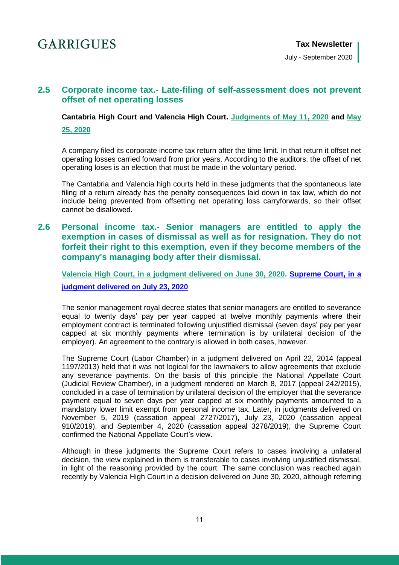July - September 2020

## <span id="page-10-0"></span>**2.5 Corporate income tax.- Late-filing of self-assessment does not prevent offset of net operating losses**

**Cantabria High Court and Valencia High Court. [Judgments of May 11, 2020](http://www.poderjudicial.es/search/AN/openDocument/14807c6c4ab00117/20200804) and [May](http://www.poderjudicial.es/search/AN/openDocument/743c09868fe9ab2c/20200825)  [25, 2020](http://www.poderjudicial.es/search/AN/openDocument/743c09868fe9ab2c/20200825)**

A company filed its corporate income tax return after the time limit. In that return it offset net operating losses carried forward from prior years. According to the auditors, the offset of net operating loses is an election that must be made in the voluntary period.

The Cantabria and Valencia high courts held in these judgments that the spontaneous late filing of a return already has the penalty consequences laid down in tax law, which do not include being prevented from offsetting net operating loss carryforwards, so their offset cannot be disallowed.

## <span id="page-10-1"></span>**2.6 Personal income tax.- Senior managers are entitled to apply the exemption in cases of dismissal as well as for resignation. They do not forfeit their right to this exemption, even if they become members of the company's managing body after their dismissal.**

**Valencia High Court, in a judgment delivered on June 30, 2020. [Supreme Court, in a](http://www.poderjudicial.es/search/AN/openDocument/c7451ca773428203/20200810)  [judgment delivered on July 23, 2020](http://www.poderjudicial.es/search/AN/openDocument/c7451ca773428203/20200810)**

The senior management royal decree states that senior managers are entitled to severance equal to twenty days' pay per year capped at twelve monthly payments where their employment contract is terminated following unjustified dismissal (seven days' pay per year capped at six monthly payments where termination is by unilateral decision of the employer). An agreement to the contrary is allowed in both cases, however.

The Supreme Court (Labor Chamber) in a judgment delivered on April 22, 2014 (appeal 1197/2013) held that it was not logical for the lawmakers to allow agreements that exclude any severance payments. On the basis of this principle the National Appellate Court (Judicial Review Chamber), in a judgment rendered on March 8, 2017 (appeal 242/2015), concluded in a case of termination by unilateral decision of the employer that the severance payment equal to seven days per year capped at six monthly payments amounted to a mandatory lower limit exempt from personal income tax. Later, in judgments delivered on November 5, 2019 (cassation appeal 2727/2017), July 23, 2020 (cassation appeal 910/2019), and September 4, 2020 (cassation appeal 3278/2019), the Supreme Court confirmed the National Appellate Court's view.

Although in these judgments the Supreme Court refers to cases involving a unilateral decision, the view explained in them is transferable to cases involving unjustified dismissal, in light of the reasoning provided by the court. The same conclusion was reached again recently by Valencia High Court in a decision delivered on June 30, 2020, although referring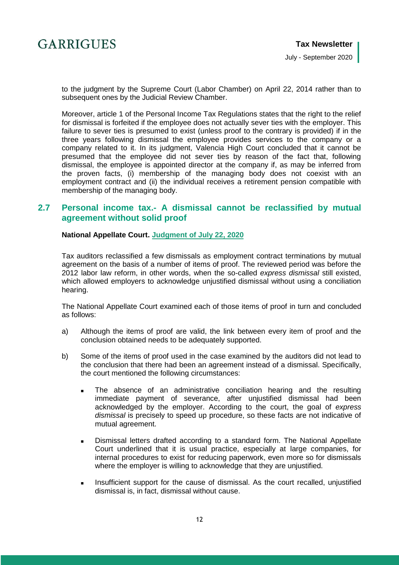July - September 2020

to the judgment by the Supreme Court (Labor Chamber) on April 22, 2014 rather than to subsequent ones by the Judicial Review Chamber.

Moreover, article 1 of the Personal Income Tax Regulations states that the right to the relief for dismissal is forfeited if the employee does not actually sever ties with the employer. This failure to sever ties is presumed to exist (unless proof to the contrary is provided) if in the three years following dismissal the employee provides services to the company or a company related to it. In its judgment, Valencia High Court concluded that it cannot be presumed that the employee did not sever ties by reason of the fact that, following dismissal, the employee is appointed director at the company if, as may be inferred from the proven facts, (i) membership of the managing body does not coexist with an employment contract and (ii) the individual receives a retirement pension compatible with membership of the managing body.

## <span id="page-11-0"></span>**2.7 Personal income tax.- A dismissal cannot be reclassified by mutual agreement without solid proof**

#### **National Appellate Court. [Judgment of July 22, 2020](http://www.poderjudicial.es/search/contenidos.action?action=contentpdf&databasematch=AN&reference=9224254&optimize=20200819&publicinterface=true&tab=AN&calledfrom=searchresults&statsQueryId=142723453&start=1&links=Despido)**

Tax auditors reclassified a few dismissals as employment contract terminations by mutual agreement on the basis of a number of items of proof. The reviewed period was before the 2012 labor law reform, in other words, when the so-called *express dismissal* still existed, which allowed employers to acknowledge unjustified dismissal without using a conciliation hearing.

The National Appellate Court examined each of those items of proof in turn and concluded as follows:

- a) Although the items of proof are valid, the link between every item of proof and the conclusion obtained needs to be adequately supported.
- b) Some of the items of proof used in the case examined by the auditors did not lead to the conclusion that there had been an agreement instead of a dismissal. Specifically, the court mentioned the following circumstances:
	- The absence of an administrative conciliation hearing and the resulting immediate payment of severance, after unjustified dismissal had been acknowledged by the employer. According to the court, the goal of *express dismissal* is precisely to speed up procedure, so these facts are not indicative of mutual agreement.
	- Dismissal letters drafted according to a standard form. The National Appellate Court underlined that it is usual practice, especially at large companies, for internal procedures to exist for reducing paperwork, even more so for dismissals where the employer is willing to acknowledge that they are unjustified.
	- **Insufficient support for the cause of dismissal. As the court recalled, unjustified** dismissal is, in fact, dismissal without cause.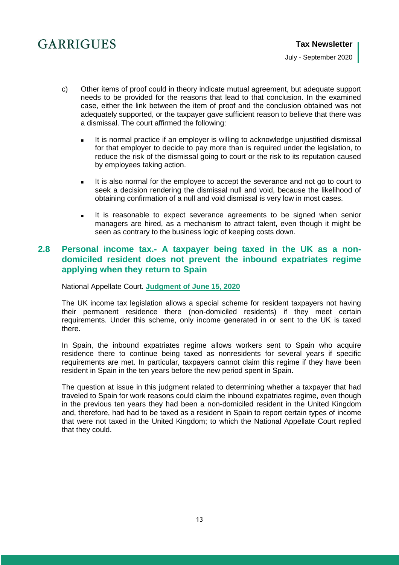July - September 2020

- c) Other items of proof could in theory indicate mutual agreement, but adequate support needs to be provided for the reasons that lead to that conclusion. In the examined case, either the link between the item of proof and the conclusion obtained was not adequately supported, or the taxpayer gave sufficient reason to believe that there was a dismissal. The court affirmed the following:
	- It is normal practice if an employer is willing to acknowledge unjustified dismissal for that employer to decide to pay more than is required under the legislation, to reduce the risk of the dismissal going to court or the risk to its reputation caused by employees taking action.
	- It is also normal for the employee to accept the severance and not go to court to seek a decision rendering the dismissal null and void, because the likelihood of obtaining confirmation of a null and void dismissal is very low in most cases.
	- It is reasonable to expect severance agreements to be signed when senior managers are hired, as a mechanism to attract talent, even though it might be seen as contrary to the business logic of keeping costs down.

## <span id="page-12-0"></span>**2.8 Personal income tax.- A taxpayer being taxed in the UK as a nondomiciled resident does not prevent the inbound expatriates regime applying when they return to Spain**

National Appellate Court. **[Judgment of June 15, 2020](http://www.poderjudicial.es/search/AN/openDocument/f8e64515ad67f848/20200708)**

The UK income tax legislation allows a special scheme for resident taxpayers not having their permanent residence there (non-domiciled residents) if they meet certain requirements. Under this scheme, only income generated in or sent to the UK is taxed there.

In Spain, the inbound expatriates regime allows workers sent to Spain who acquire residence there to continue being taxed as nonresidents for several years if specific requirements are met. In particular, taxpayers cannot claim this regime if they have been resident in Spain in the ten years before the new period spent in Spain.

The question at issue in this judgment related to determining whether a taxpayer that had traveled to Spain for work reasons could claim the inbound expatriates regime, even though in the previous ten years they had been a non-domiciled resident in the United Kingdom and, therefore, had had to be taxed as a resident in Spain to report certain types of income that were not taxed in the United Kingdom; to which the National Appellate Court replied that they could.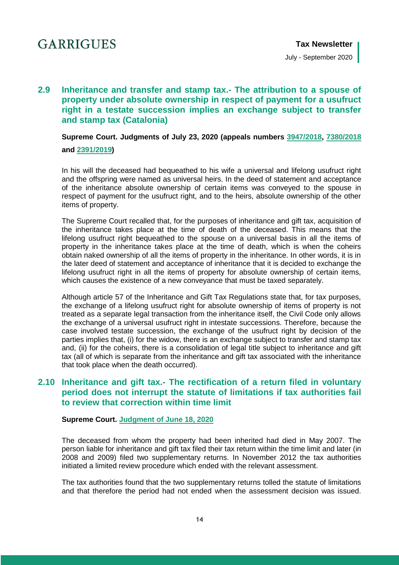## <span id="page-13-0"></span>**2.9 Inheritance and transfer and stamp tax.- The attribution to a spouse of property under absolute ownership in respect of payment for a usufruct right in a testate succession implies an exchange subject to transfer and stamp tax (Catalonia)**

**Supreme Court. Judgments of July 23, 2020 (appeals numbers [3947/2018,](http://www.poderjudicial.es/search/AN/openDocument/2e7b4c082baf65af/20200810) [7380/2018](http://www.poderjudicial.es/search/AN/openDocument/0bea24b60c0d1fcc/20200810)**

**and [2391/2019\)](http://www.poderjudicial.es/search/AN/openDocument/bc6acdbd98c4a2b3/20200810)**

In his will the deceased had bequeathed to his wife a universal and lifelong usufruct right and the offspring were named as universal heirs. In the deed of statement and acceptance of the inheritance absolute ownership of certain items was conveyed to the spouse in respect of payment for the usufruct right, and to the heirs, absolute ownership of the other items of property.

The Supreme Court recalled that, for the purposes of inheritance and gift tax, acquisition of the inheritance takes place at the time of death of the deceased. This means that the lifelong usufruct right bequeathed to the spouse on a universal basis in all the items of property in the inheritance takes place at the time of death, which is when the coheirs obtain naked ownership of all the items of property in the inheritance. In other words, it is in the later deed of statement and acceptance of inheritance that it is decided to exchange the lifelong usufruct right in all the items of property for absolute ownership of certain items, which causes the existence of a new conveyance that must be taxed separately.

Although article 57 of the Inheritance and Gift Tax Regulations state that, for tax purposes, the exchange of a lifelong usufruct right for absolute ownership of items of property is not treated as a separate legal transaction from the inheritance itself, the Civil Code only allows the exchange of a universal usufruct right in intestate successions. Therefore, because the case involved testate succession, the exchange of the usufruct right by decision of the parties implies that, (i) for the widow, there is an exchange subject to transfer and stamp tax and, (ii) for the coheirs, there is a consolidation of legal title subject to inheritance and gift tax (all of which is separate from the inheritance and gift tax associated with the inheritance that took place when the death occurred).

## <span id="page-13-1"></span>**2.10 Inheritance and gift tax.- The rectification of a return filed in voluntary period does not interrupt the statute of limitations if tax authorities fail to review that correction within time limit**

#### **Supreme Court. [Judgment of June 18, 2020](http://www.poderjudicial.es/search/AN/openDocument/8e3fbe5566a598f1/20200707)**

The deceased from whom the property had been inherited had died in May 2007. The person liable for inheritance and gift tax filed their tax return within the time limit and later (in 2008 and 2009) filed two supplementary returns. In November 2012 the tax authorities initiated a limited review procedure which ended with the relevant assessment.

The tax authorities found that the two supplementary returns tolled the statute of limitations and that therefore the period had not ended when the assessment decision was issued.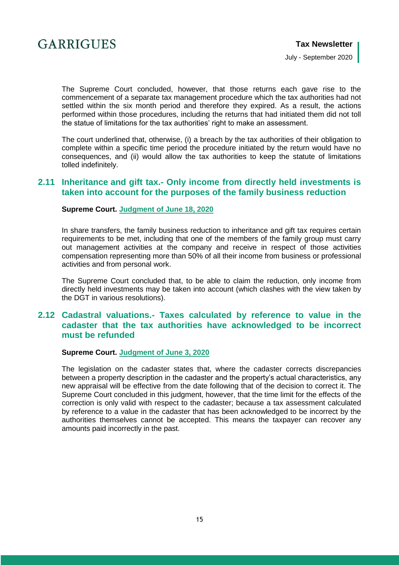

July - September 2020

The Supreme Court concluded, however, that those returns each gave rise to the commencement of a separate tax management procedure which the tax authorities had not settled within the six month period and therefore they expired. As a result, the actions performed within those procedures, including the returns that had initiated them did not toll the statue of limitations for the tax authorities' right to make an assessment.

The court underlined that, otherwise, (i) a breach by the tax authorities of their obligation to complete within a specific time period the procedure initiated by the return would have no consequences, and (ii) would allow the tax authorities to keep the statute of limitations tolled indefinitely.

### <span id="page-14-0"></span>**2.11 Inheritance and gift tax.- Only income from directly held investments is taken into account for the purposes of the family business reduction**

**Supreme Court. [Judgment of June 18, 2020](http://www.poderjudicial.es/search/AN/openDocument/c4698e64f39ee66a/20200626)**

In share transfers, the family business reduction to inheritance and gift tax requires certain requirements to be met, including that one of the members of the family group must carry out management activities at the company and receive in respect of those activities compensation representing more than 50% of all their income from business or professional activities and from personal work.

The Supreme Court concluded that, to be able to claim the reduction, only income from directly held investments may be taken into account (which clashes with the view taken by the DGT in various resolutions).

## <span id="page-14-1"></span>**2.12 Cadastral valuations.- Taxes calculated by reference to value in the cadaster that the tax authorities have acknowledged to be incorrect must be refunded**

#### **Supreme Court. [Judgment of June 3, 2020](http://www.poderjudicial.es/search/AN/openDocument/ff647eb5b4258159/20200622)**

The legislation on the cadaster states that, where the cadaster corrects discrepancies between a property description in the cadaster and the property's actual characteristics, any new appraisal will be effective from the date following that of the decision to correct it. The Supreme Court concluded in this judgment, however, that the time limit for the effects of the correction is only valid with respect to the cadaster; because a tax assessment calculated by reference to a value in the cadaster that has been acknowledged to be incorrect by the authorities themselves cannot be accepted. This means the taxpayer can recover any amounts paid incorrectly in the past.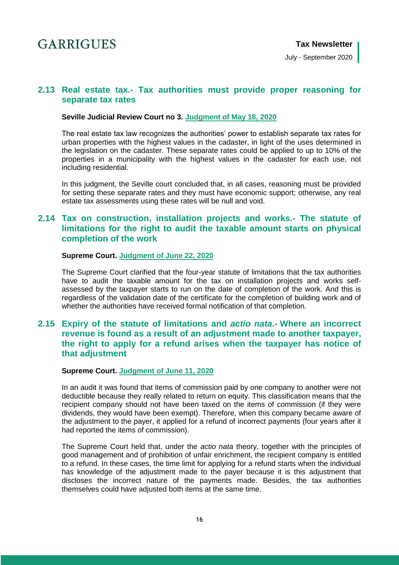July - September 2020

### <span id="page-15-0"></span>**2.13 Real estate tax.- Tax authorities must provide proper reasoning for separate tax rates**

#### **Seville Judicial Review Court no 3. [Judgment of May](http://www.poderjudicial.es/search/AN/openDocument/5f86152d18a1694a/20200623) 18, 2020**

The real estate tax law recognizes the authorities' power to establish separate tax rates for urban properties with the highest values in the cadaster, in light of the uses determined in the legislation on the cadaster. These separate rates could be applied to up to 10% of the properties in a municipality with the highest values in the cadaster for each use, not including residential.

In this judgment, the Seville court concluded that, in all cases, reasoning must be provided for setting these separate rates and they must have economic support; otherwise, any real estate tax assessments using these rates will be null and void.

## <span id="page-15-1"></span>**2.14 Tax on construction, installation projects and works.- The statute of limitations for the right to audit the taxable amount starts on physical completion of the work**

#### **Supreme Court. [Judgment of June 22, 2020](http://www.poderjudicial.es/search/AN/openDocument/1b5dfdc144d52c3c/20200707)**

The Supreme Court clarified that the four-year statute of limitations that the tax authorities have to audit the taxable amount for the tax on installation projects and works selfassessed by the taxpayer starts to run on the date of completion of the work. And this is regardless of the validation date of the certificate for the completion of building work and of whether the authorities have received formal notification of that completion.

## <span id="page-15-2"></span>**2.15 Expiry of the statute of limitations and** *actio nata***.- Where an incorrect revenue is found as a result of an adjustment made to another taxpayer, the right to apply for a refund arises when the taxpayer has notice of that adjustment**

#### **Supreme Court. [Judgment of June 11, 2020](http://www.poderjudicial.es/search/AN/openDocument/aab193d2a827ef93/20200626)**

In an audit it was found that items of commission paid by one company to another were not deductible because they really related to return on equity. This classification means that the recipient company should not have been taxed on the items of commission (if they were dividends, they would have been exempt). Therefore, when this company became aware of the adjustment to the payer, it applied for a refund of incorrect payments (four years after it had reported the items of commission).

The Supreme Court held that, under the *actio nata* theory, together with the principles of good management and of prohibition of unfair enrichment, the recipient company is entitled to a refund. In these cases, the time limit for applying for a refund starts when the individual has knowledge of the adjustment made to the payer because it is this adjustment that discloses the incorrect nature of the payments made. Besides, the tax authorities themselves could have adjusted both items at the same time.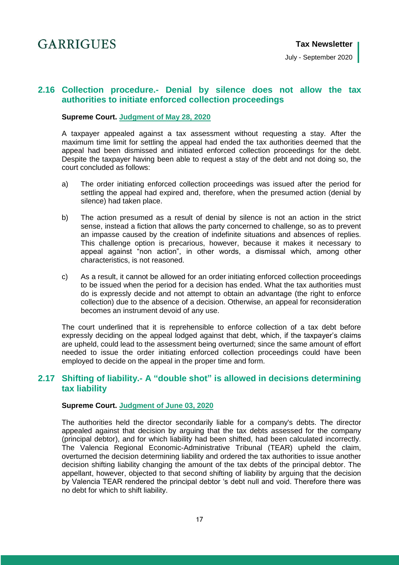July - September 2020

## <span id="page-16-0"></span>**2.16 Collection procedure.- Denial by silence does not allow the tax authorities to initiate enforced collection proceedings**

#### **Supreme Court. [Judgment of May 28, 2020](http://www.poderjudicial.es/search/AN/openDocument/284cb222b78c1a01/20200615)**

A taxpayer appealed against a tax assessment without requesting a stay. After the maximum time limit for settling the appeal had ended the tax authorities deemed that the appeal had been dismissed and initiated enforced collection proceedings for the debt. Despite the taxpayer having been able to request a stay of the debt and not doing so, the court concluded as follows:

- a) The order initiating enforced collection proceedings was issued after the period for settling the appeal had expired and, therefore, when the presumed action (denial by silence) had taken place.
- b) The action presumed as a result of denial by silence is not an action in the strict sense, instead a fiction that allows the party concerned to challenge, so as to prevent an impasse caused by the creation of indefinite situations and absences of replies. This challenge option is precarious, however, because it makes it necessary to appeal against "non action", in other words, a dismissal which, among other characteristics, is not reasoned.
- c) As a result, it cannot be allowed for an order initiating enforced collection proceedings to be issued when the period for a decision has ended. What the tax authorities must do is expressly decide and not attempt to obtain an advantage (the right to enforce collection) due to the absence of a decision. Otherwise, an appeal for reconsideration becomes an instrument devoid of any use.

The court underlined that it is reprehensible to enforce collection of a tax debt before expressly deciding on the appeal lodged against that debt, which, if the taxpayer's claims are upheld, could lead to the assessment being overturned; since the same amount of effort needed to issue the order initiating enforced collection proceedings could have been employed to decide on the appeal in the proper time and form.

## <span id="page-16-1"></span>**2.17 Shifting of liability.- A "double shot" is allowed in decisions determining tax liability**

#### **Supreme Court. [Judgment of June 03, 2020](http://www.poderjudicial.es/search/AN/openDocument/b696312747f5b2ff/20200615)**

The authorities held the director secondarily liable for a company's debts. The director appealed against that decision by arguing that the tax debts assessed for the company (principal debtor), and for which liability had been shifted, had been calculated incorrectly. The Valencia Regional Economic-Administrative Tribunal (TEAR) upheld the claim, overturned the decision determining liability and ordered the tax authorities to issue another decision shifting liability changing the amount of the tax debts of the principal debtor. The appellant, however, objected to that second shifting of liability by arguing that the decision by Valencia TEAR rendered the principal debtor 's debt null and void. Therefore there was no debt for which to shift liability.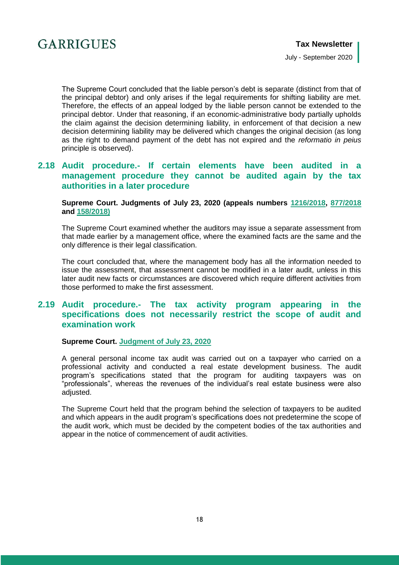

July - September 2020

The Supreme Court concluded that the liable person's debt is separate (distinct from that of the principal debtor) and only arises if the legal requirements for shifting liability are met. Therefore, the effects of an appeal lodged by the liable person cannot be extended to the principal debtor. Under that reasoning, if an economic-administrative body partially upholds the claim against the decision determining liability, in enforcement of that decision a new decision determining liability may be delivered which changes the original decision (as long as the right to demand payment of the debt has not expired and the *reformatio in peius* principle is observed).

## <span id="page-17-0"></span>**2.18 Audit procedure.- If certain elements have been audited in a management procedure they cannot be audited again by the tax authorities in a later procedure**

#### **Supreme Court. Judgments of July 23, 2020 (appeals numbers [1216/2018,](http://www.poderjudicial.es/search/AN/openDocument/02ef4d7218105182/20200814) [877/2018](http://www.poderjudicial.es/search/AN/openDocument/393e2ccd1e51776e/20200810) and [158/2018\)](http://www.poderjudicial.es/search/AN/openDocument/07e2b424d54d22d7/20200810)**

The Supreme Court examined whether the auditors may issue a separate assessment from that made earlier by a management office, where the examined facts are the same and the only difference is their legal classification.

The court concluded that, where the management body has all the information needed to issue the assessment, that assessment cannot be modified in a later audit, unless in this later audit new facts or circumstances are discovered which require different activities from those performed to make the first assessment.

## <span id="page-17-1"></span>**2.19 Audit procedure.- The tax activity program appearing in the specifications does not necessarily restrict the scope of audit and examination work**

#### **Supreme Court. [Judgment of July 23, 2020](http://www.poderjudicial.es/search/AN/openDocument/27fd4f9410a391ba/20200810)**

A general personal income tax audit was carried out on a taxpayer who carried on a professional activity and conducted a real estate development business. The audit program's specifications stated that the program for auditing taxpayers was on "professionals", whereas the revenues of the individual's real estate business were also adjusted.

<span id="page-17-2"></span>The Supreme Court held that the program behind the selection of taxpayers to be audited and which appears in the audit program's specifications does not predetermine the scope of the audit work, which must be decided by the competent bodies of the tax authorities and appear in the notice of commencement of audit activities.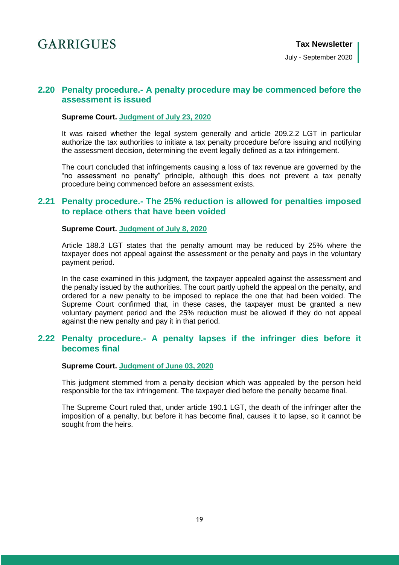July - September 2020

## **2.20 Penalty procedure.- A penalty procedure may be commenced before the assessment is issued**

#### **Supreme Court. [Judgment of July 23, 2020](http://www.poderjudicial.es/search/AN/openDocument/d9a351237067f756/20200810)**

It was raised whether the legal system generally and article 209.2.2 LGT in particular authorize the tax authorities to initiate a tax penalty procedure before issuing and notifying the assessment decision, determining the event legally defined as a tax infringement.

The court concluded that infringements causing a loss of tax revenue are governed by the "no assessment no penalty" principle, although this does not prevent a tax penalty procedure being commenced before an assessment exists.

### <span id="page-18-0"></span>**2.21 Penalty procedure.- The 25% reduction is allowed for penalties imposed to replace others that have been voided**

#### **Supreme Court. [Judgment of July 8, 2020](http://www.poderjudicial.es/search/TS/openDocument/25601d4644b13e4a/20200720)**

Article 188.3 LGT states that the penalty amount may be reduced by 25% where the taxpayer does not appeal against the assessment or the penalty and pays in the voluntary payment period.

In the case examined in this judgment, the taxpayer appealed against the assessment and the penalty issued by the authorities. The court partly upheld the appeal on the penalty, and ordered for a new penalty to be imposed to replace the one that had been voided. The Supreme Court confirmed that, in these cases, the taxpayer must be granted a new voluntary payment period and the 25% reduction must be allowed if they do not appeal against the new penalty and pay it in that period.

### <span id="page-18-1"></span>**2.22 Penalty procedure.- A penalty lapses if the infringer dies before it becomes final**

#### **Supreme Court. [Judgment of June 03, 2020](http://www.poderjudicial.es/search/AN/openDocument/0726e85971620390/20200615)**

This judgment stemmed from a penalty decision which was appealed by the person held responsible for the tax infringement. The taxpayer died before the penalty became final.

<span id="page-18-2"></span>The Supreme Court ruled that, under article 190.1 LGT, the death of the infringer after the imposition of a penalty, but before it has become final, causes it to lapse, so it cannot be sought from the heirs.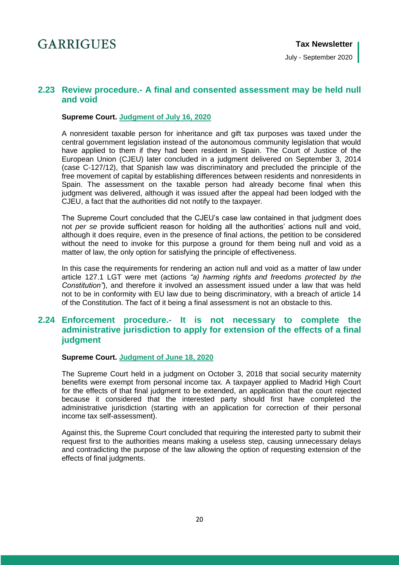July - September 2020

## **2.23 Review procedure.- A final and consented assessment may be held null and void**

#### **Supreme Court. [Judgment of July 16, 2020](http://www.poderjudicial.es/search/AN/openDocument/83ef68cbb83331b6/20200810)**

A nonresident taxable person for inheritance and gift tax purposes was taxed under the central government legislation instead of the autonomous community legislation that would have applied to them if they had been resident in Spain. The Court of Justice of the European Union (CJEU) later concluded in a judgment delivered on September 3, 2014 (case C-127/12), that Spanish law was discriminatory and precluded the principle of the free movement of capital by establishing differences between residents and nonresidents in Spain. The assessment on the taxable person had already become final when this judgment was delivered, although it was issued after the appeal had been lodged with the CJEU, a fact that the authorities did not notify to the taxpayer.

The Supreme Court concluded that the CJEU's case law contained in that judgment does not *per se* provide sufficient reason for holding all the authorities' actions null and void, although it does require, even in the presence of final actions, the petition to be considered without the need to invoke for this purpose a ground for them being null and void as a matter of law, the only option for satisfying the principle of effectiveness.

In this case the requirements for rendering an action null and void as a matter of law under article 127.1 LGT were met (actions *"a) harming rights and freedoms protected by the Constitution"*), and therefore it involved an assessment issued under a law that was held not to be in conformity with EU law due to being discriminatory, with a breach of article 14 of the Constitution. The fact of it being a final assessment is not an obstacle to this.

## <span id="page-19-0"></span>**2.24 Enforcement procedure.- It is not necessary to complete the administrative jurisdiction to apply for extension of the effects of a final judgment**

#### **Supreme Court. [Judgment of June 18, 2020](http://www.poderjudicial.es/search/AN/openDocument/cb4b5795d1e5091b/20200630)**

The Supreme Court held in a judgment on October 3, 2018 that social security maternity benefits were exempt from personal income tax. A taxpayer applied to Madrid High Court for the effects of that final judgment to be extended, an application that the court rejected because it considered that the interested party should first have completed the administrative jurisdiction (starting with an application for correction of their personal income tax self-assessment).

Against this, the Supreme Court concluded that requiring the interested party to submit their request first to the authorities means making a useless step, causing unnecessary delays and contradicting the purpose of the law allowing the option of requesting extension of the effects of final judgments.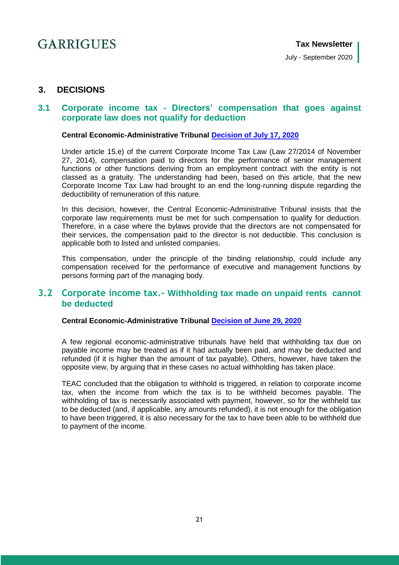## <span id="page-20-0"></span>**3. DECISIONS**

## <span id="page-20-1"></span>**3.1 Corporate income tax - Directors' compensation that goes against corporate law does not qualify for deduction**

#### **Central Economic-Administrative Tribunal [Decision of July 17, 2020](https://serviciostelematicosext.hacienda.gob.es/TEAC/DYCTEA/criterio.aspx?id=00/03156/2019/00/0/1&q=s%3d1%26rn%3d%26ra%3d%26fd%3d17%2f07%2f2020%26fh%3d17%2f07%2f2020%26u%3d00%26n%3d%26p%3d%26c1%3d%26c2%3d%26c3%3d%26tc%3d1%26tr%3d%26tp%3d%26tf%3d%26c%3d2%26pg%3d)**

Under article 15.e) of the current Corporate Income Tax Law (Law 27/2014 of November 27, 2014), compensation paid to directors for the performance of senior management functions or other functions deriving from an employment contract with the entity is not classed as a gratuity. The understanding had been, based on this article, that the new Corporate Income Tax Law had brought to an end the long-running dispute regarding the deductibility of remuneration of this nature.

In this decision, however, the Central Economic-Administrative Tribunal insists that the corporate law requirements must be met for such compensation to qualify for deduction. Therefore, in a case where the bylaws provide that the directors are not compensated for their services, the compensation paid to the director is not deductible. This conclusion is applicable both to listed and unlisted companies.

This compensation, under the principle of the binding relationship, could include any compensation received for the performance of executive and management functions by persons forming part of the managing body.

## <span id="page-20-2"></span>**3.2 Corporate income tax.- Withholding tax made on unpaid rents cannot be deducted**

#### **Central Economic-Administrative Tribunal [Decision of June 29, 2020](https://serviciostelematicosext.hacienda.gob.es/TEAC/DYCTEA/criterio.aspx?id=00/05810/2019/00/0/1&q=s%3d1%26rn%3d%26ra%3d%26fd%3d29%2f06%2f2020%26fh%3d29%2f06%2f2020%26u%3d00%26n%3d%26p%3d%26c1%3d%26c2%3d%26c3%3d%26tc%3d1%26tr%3d%26tp%3d%26tf%3d%26c%3d2%26pg%3d)**

A few regional economic-administrative tribunals have held that withholding tax due on payable income may be treated as if it had actually been paid, and may be deducted and refunded (if it is higher than the amount of tax payable). Others, however, have taken the opposite view, by arguing that in these cases no actual withholding has taken place.

<span id="page-20-3"></span>TEAC concluded that the obligation to withhold is triggered, in relation to corporate income tax, when the income from which the tax is to be withheld becomes payable. The withholding of tax is necessarily associated with payment, however, so for the withheld tax to be deducted (and, if applicable, any amounts refunded), it is not enough for the obligation to have been triggered, it is also necessary for the tax to have been able to be withheld due to payment of the income.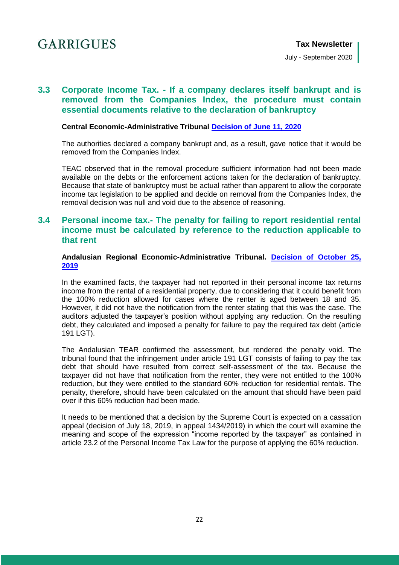## **3.3 Corporate Income Tax. - If a company declares itself bankrupt and is removed from the Companies Index, the procedure must contain essential documents relative to the declaration of bankruptcy**

#### **Central Economic-Administrative Tribunal [Decision of June 11, 2020](https://serviciostelematicosext.hacienda.gob.es/TEAC/DYCTEA/criterio.aspx?id=00/03085/2018/00/0/1&q=s%3d1%26rn%3d%26ra%3d%26fd%3d11%2f06%2f2020%26fh%3d11%2f06%2f2020%26u%3d00%26n%3d%26p%3d%26c1%3d%26c2%3d%26c3%3d%26tc%3d1%26tr%3d%26tp%3d%26tf%3d%26c%3d2%26pg%3d)**

The authorities declared a company bankrupt and, as a result, gave notice that it would be removed from the Companies Index.

TEAC observed that in the removal procedure sufficient information had not been made available on the debts or the enforcement actions taken for the declaration of bankruptcy. Because that state of bankruptcy must be actual rather than apparent to allow the corporate income tax legislation to be applied and decide on removal from the Companies Index, the removal decision was null and void due to the absence of reasoning.

## <span id="page-21-0"></span>**3.4 Personal income tax.- The penalty for failing to report residential rental income must be calculated by reference to the reduction applicable to that rent**

#### **Andalusian Regional Economic-Administrative Tribunal. [Decision of October 25,](https://serviciostelematicosext.hacienda.gob.es/TEAC/DYCTEA/criterio.aspx?id=14/02976/2018/00/0/1&q=s%3d1%26rn%3d%26ra%3d%26fd%3d25%2f10%2f2019%26fh%3d29%2f10%2f2019%26u%3d12%26n%3d%26p%3d%26c1%3d%26c2%3d%26c3%3d%26tc%3d1%26tr%3d%26tp%3d%26tf%3d%26c%3d2%26pg%3d)  [2019](https://serviciostelematicosext.hacienda.gob.es/TEAC/DYCTEA/criterio.aspx?id=14/02976/2018/00/0/1&q=s%3d1%26rn%3d%26ra%3d%26fd%3d25%2f10%2f2019%26fh%3d29%2f10%2f2019%26u%3d12%26n%3d%26p%3d%26c1%3d%26c2%3d%26c3%3d%26tc%3d1%26tr%3d%26tp%3d%26tf%3d%26c%3d2%26pg%3d)**

In the examined facts, the taxpayer had not reported in their personal income tax returns income from the rental of a residential property, due to considering that it could benefit from the 100% reduction allowed for cases where the renter is aged between 18 and 35. However, it did not have the notification from the renter stating that this was the case. The auditors adjusted the taxpayer's position without applying any reduction. On the resulting debt, they calculated and imposed a penalty for failure to pay the required tax debt (article 191 LGT).

The Andalusian TEAR confirmed the assessment, but rendered the penalty void. The tribunal found that the infringement under article 191 LGT consists of failing to pay the tax debt that should have resulted from correct self-assessment of the tax. Because the taxpayer did not have that notification from the renter, they were not entitled to the 100% reduction, but they were entitled to the standard 60% reduction for residential rentals. The penalty, therefore, should have been calculated on the amount that should have been paid over if this 60% reduction had been made.

<span id="page-21-1"></span>It needs to be mentioned that a decision by the Supreme Court is expected on a cassation appeal (decision of July 18, 2019, in appeal 1434/2019) in which the court will examine the meaning and scope of the expression "income reported by the taxpayer" as contained in article 23.2 of the Personal Income Tax Law for the purpose of applying the 60% reduction.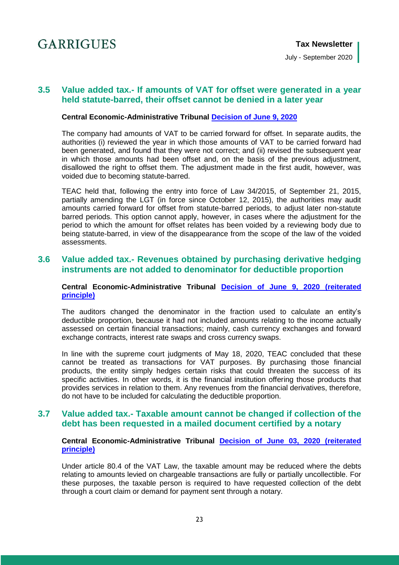## **3.5 Value added tax.- If amounts of VAT for offset were generated in a year held statute-barred, their offset cannot be denied in a later year**

#### **Central Economic-Administrative Tribunal [Decision of June 9, 2020](https://serviciostelematicosext.hacienda.gob.es/TEAC/DYCTEA/criterio.aspx?id=00/06201/2019/00/0/1&q=s%3d1%26rn%3d%26ra%3d%26fd%3d09%2f06%2f2020%26fh%3d09%2f06%2f2020%26u%3d00%26n%3d%26p%3d%26c1%3d%26c2%3d%26c3%3d%26tc%3d1%26tr%3d%26tp%3d%26tf%3d%26c%3d2%26pg%3d2)**

The company had amounts of VAT to be carried forward for offset. In separate audits, the authorities (i) reviewed the year in which those amounts of VAT to be carried forward had been generated, and found that they were not correct; and (ii) revised the subsequent year in which those amounts had been offset and, on the basis of the previous adjustment, disallowed the right to offset them. The adjustment made in the first audit, however, was voided due to becoming statute-barred.

TEAC held that, following the entry into force of Law 34/2015, of September 21, 2015, partially amending the LGT (in force since October 12, 2015), the authorities may audit amounts carried forward for offset from statute-barred periods, to adjust later non-statute barred periods. This option cannot apply, however, in cases where the adjustment for the period to which the amount for offset relates has been voided by a reviewing body due to being statute-barred, in view of the disappearance from the scope of the law of the voided assessments.

## <span id="page-22-0"></span>**3.6 Value added tax.- Revenues obtained by purchasing derivative hedging instruments are not added to denominator for deductible proportion**

**Central Economic-Administrative Tribunal [Decision of June 9, 2020 \(reiterated](https://serviciostelematicosext.hacienda.gob.es/TEAC/DYCTEA/criterio.aspx?id=00/04453/2016/00/0/1&q=s%3d1%26rn%3d%26ra%3d%26fd%3d09%2f06%2f2020%26fh%3d09%2f06%2f2020%26u%3d00%26n%3d%26p%3d%26c1%3d%26c2%3d%26c3%3d%26tc%3d1%26tr%3d%26tp%3d%26tf%3d%26c%3d2%26pg%3d2)  [principle\)](https://serviciostelematicosext.hacienda.gob.es/TEAC/DYCTEA/criterio.aspx?id=00/04453/2016/00/0/1&q=s%3d1%26rn%3d%26ra%3d%26fd%3d09%2f06%2f2020%26fh%3d09%2f06%2f2020%26u%3d00%26n%3d%26p%3d%26c1%3d%26c2%3d%26c3%3d%26tc%3d1%26tr%3d%26tp%3d%26tf%3d%26c%3d2%26pg%3d2)**

The auditors changed the denominator in the fraction used to calculate an entity's deductible proportion, because it had not included amounts relating to the income actually assessed on certain financial transactions; mainly, cash currency exchanges and forward exchange contracts, interest rate swaps and cross currency swaps.

In line with the supreme court judgments of May 18, 2020, TEAC concluded that these cannot be treated as transactions for VAT purposes. By purchasing those financial products, the entity simply hedges certain risks that could threaten the success of its specific activities. In other words, it is the financial institution offering those products that provides services in relation to them. Any revenues from the financial derivatives, therefore, do not have to be included for calculating the deductible proportion.

## <span id="page-22-1"></span>**3.7 Value added tax.- Taxable amount cannot be changed if collection of the debt has been requested in a mailed document certified by a notary**

#### **Central Economic-Administrative Tribunal [Decision of June 03, 2020 \(reiterated](https://serviciostelematicosext.hacienda.gob.es/TEAC/DYCTEA/criterio.aspx?id=00/03041/2017/00/0/1&q=s%3d1%26rn%3d%26ra%3d%26fd%3d03%2f06%2f2020%26fh%3d03%2f06%2f2020%26u%3d00%26n%3d%26p%3d%26c1%3d%26c2%3d%26c3%3d%26tc%3d1%26tr%3d%26tp%3d%26tf%3d%26c%3d2%26pg%3d)  [principle\)](https://serviciostelematicosext.hacienda.gob.es/TEAC/DYCTEA/criterio.aspx?id=00/03041/2017/00/0/1&q=s%3d1%26rn%3d%26ra%3d%26fd%3d03%2f06%2f2020%26fh%3d03%2f06%2f2020%26u%3d00%26n%3d%26p%3d%26c1%3d%26c2%3d%26c3%3d%26tc%3d1%26tr%3d%26tp%3d%26tf%3d%26c%3d2%26pg%3d)**

Under article 80.4 of the VAT Law, the taxable amount may be reduced where the debts relating to amounts levied on chargeable transactions are fully or partially uncollectible. For these purposes, the taxable person is required to have requested collection of the debt through a court claim or demand for payment sent through a notary.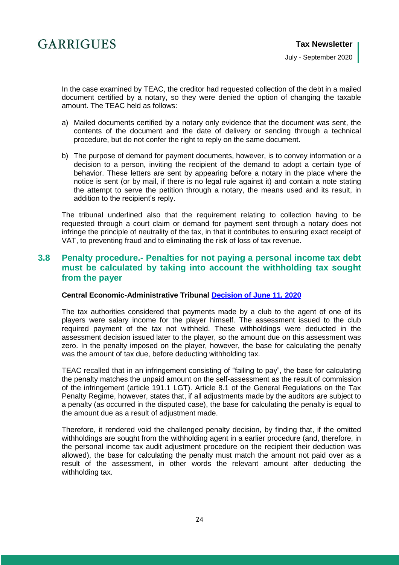

In the case examined by TEAC, the creditor had requested collection of the debt in a mailed document certified by a notary, so they were denied the option of changing the taxable amount. The TEAC held as follows:

- a) Mailed documents certified by a notary only evidence that the document was sent, the contents of the document and the date of delivery or sending through a technical procedure, but do not confer the right to reply on the same document.
- b) The purpose of demand for payment documents, however, is to convey information or a decision to a person, inviting the recipient of the demand to adopt a certain type of behavior. These letters are sent by appearing before a notary in the place where the notice is sent (or by mail, if there is no legal rule against it) and contain a note stating the attempt to serve the petition through a notary, the means used and its result, in addition to the recipient's reply.

The tribunal underlined also that the requirement relating to collection having to be requested through a court claim or demand for payment sent through a notary does not infringe the principle of neutrality of the tax, in that it contributes to ensuring exact receipt of VAT, to preventing fraud and to eliminating the risk of loss of tax revenue.

## <span id="page-23-0"></span>**3.8 Penalty procedure.- Penalties for not paying a personal income tax debt must be calculated by taking into account the withholding tax sought from the payer**

#### **Central Economic-Administrative Tribunal [Decision of June 11, 2020](https://serviciostelematicosext.hacienda.gob.es/TEAC/DYCTEA/criterio.aspx?id=00/05800/2017/00/0/1&q=s%3d1%26rn%3d%26ra%3d%26fd%3d11%2f06%2f2020%26fh%3d11%2f06%2f2020%26u%3d00%26n%3d%26p%3d%26c1%3d%26c2%3d%26c3%3d%26tc%3d1%26tr%3d%26tp%3d%26tf%3d%26c%3d2%26pg%3d)**

The tax authorities considered that payments made by a club to the agent of one of its players were salary income for the player himself. The assessment issued to the club required payment of the tax not withheld. These withholdings were deducted in the assessment decision issued later to the player, so the amount due on this assessment was zero. In the penalty imposed on the player, however, the base for calculating the penalty was the amount of tax due, before deducting withholding tax.

TEAC recalled that in an infringement consisting of "failing to pay", the base for calculating the penalty matches the unpaid amount on the self-assessment as the result of commission of the infringement (article 191.1 LGT). Article 8.1 of the General Regulations on the Tax Penalty Regime, however, states that, if all adjustments made by the auditors are subject to a penalty (as occurred in the disputed case), the base for calculating the penalty is equal to the amount due as a result of adjustment made.

Therefore, it rendered void the challenged penalty decision, by finding that, if the omitted withholdings are sought from the withholding agent in a earlier procedure (and, therefore, in the personal income tax audit adjustment procedure on the recipient their deduction was allowed), the base for calculating the penalty must match the amount not paid over as a result of the assessment, in other words the relevant amount after deducting the withholding tax.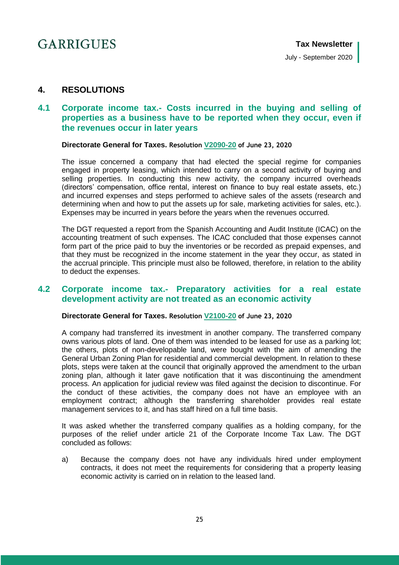## <span id="page-24-0"></span>**4. RESOLUTIONS**

## <span id="page-24-1"></span>**4.1 Corporate income tax.- Costs incurred in the buying and selling of properties as a business have to be reported when they occur, even if the revenues occur in later years**

#### **Directorate General for Taxes. Resolution [V2090-20](https://petete.tributos.hacienda.gob.es/consultas/?num_consulta=V2090-20) of June 23, 2020**

The issue concerned a company that had elected the special regime for companies engaged in property leasing, which intended to carry on a second activity of buying and selling properties. In conducting this new activity, the company incurred overheads (directors' compensation, office rental, interest on finance to buy real estate assets, etc.) and incurred expenses and steps performed to achieve sales of the assets (research and determining when and how to put the assets up for sale, marketing activities for sales, etc.). Expenses may be incurred in years before the years when the revenues occurred.

The DGT requested a report from the Spanish Accounting and Audit Institute (ICAC) on the accounting treatment of such expenses. The ICAC concluded that those expenses cannot form part of the price paid to buy the inventories or be recorded as prepaid expenses, and that they must be recognized in the income statement in the year they occur, as stated in the accrual principle. This principle must also be followed, therefore, in relation to the ability to deduct the expenses.

## <span id="page-24-2"></span>**4.2 Corporate income tax.- Preparatory activities for a real estate development activity are not treated as an economic activity**

#### **Directorate General for Taxes. Resolution [V2100-20](https://petete.tributos.hacienda.gob.es/consultas/?num_consulta=V2100-20) of June 23, 2020**

A company had transferred its investment in another company. The transferred company owns various plots of land. One of them was intended to be leased for use as a parking lot; the others, plots of non-developable land, were bought with the aim of amending the General Urban Zoning Plan for residential and commercial development. In relation to these plots, steps were taken at the council that originally approved the amendment to the urban zoning plan, although it later gave notification that it was discontinuing the amendment process. An application for judicial review was filed against the decision to discontinue. For the conduct of these activities, the company does not have an employee with an employment contract; although the transferring shareholder provides real estate management services to it, and has staff hired on a full time basis.

It was asked whether the transferred company qualifies as a holding company, for the purposes of the relief under article 21 of the Corporate Income Tax Law. The DGT concluded as follows:

a) Because the company does not have any individuals hired under employment contracts, it does not meet the requirements for considering that a property leasing economic activity is carried on in relation to the leased land.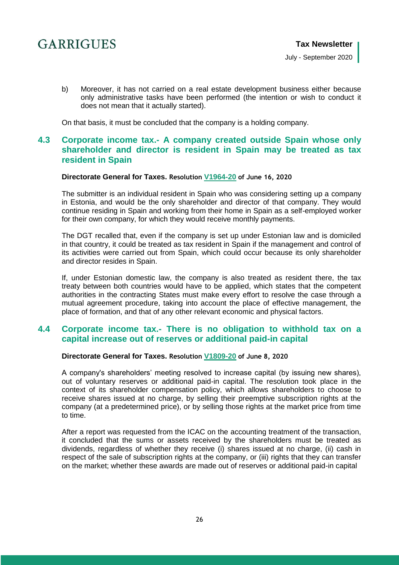b) Moreover, it has not carried on a real estate development business either because only administrative tasks have been performed (the intention or wish to conduct it does not mean that it actually started).

On that basis, it must be concluded that the company is a holding company.

## <span id="page-25-0"></span>**4.3 Corporate income tax.- A company created outside Spain whose only shareholder and director is resident in Spain may be treated as tax resident in Spain**

#### **Directorate General for Taxes. Resolution [V1964-20](https://petete.tributos.hacienda.gob.es/consultas/?num_consulta=V1964-20) of June 16, 2020**

The submitter is an individual resident in Spain who was considering setting up a company in Estonia, and would be the only shareholder and director of that company. They would continue residing in Spain and working from their home in Spain as a self-employed worker for their own company, for which they would receive monthly payments.

The DGT recalled that, even if the company is set up under Estonian law and is domiciled in that country, it could be treated as tax resident in Spain if the management and control of its activities were carried out from Spain, which could occur because its only shareholder and director resides in Spain.

If, under Estonian domestic law, the company is also treated as resident there, the tax treaty between both countries would have to be applied, which states that the competent authorities in the contracting States must make every effort to resolve the case through a mutual agreement procedure, taking into account the place of effective management, the place of formation, and that of any other relevant economic and physical factors.

## <span id="page-25-1"></span>**4.4 Corporate income tax.- There is no obligation to withhold tax on a capital increase out of reserves or additional paid-in capital**

#### **Directorate General for Taxes. Resolution [V1809-20](https://petete.tributos.hacienda.gob.es/consultas/?num_consulta=V1809-20) of June 8, 2020**

A company's shareholders' meeting resolved to increase capital (by issuing new shares), out of voluntary reserves or additional paid-in capital. The resolution took place in the context of its shareholder compensation policy, which allows shareholders to choose to receive shares issued at no charge, by selling their preemptive subscription rights at the company (at a predetermined price), or by selling those rights at the market price from time to time.

After a report was requested from the ICAC on the accounting treatment of the transaction, it concluded that the sums or assets received by the shareholders must be treated as dividends, regardless of whether they receive (i) shares issued at no charge, (ii) cash in respect of the sale of subscription rights at the company, or (iii) rights that they can transfer on the market; whether these awards are made out of reserves or additional paid-in capital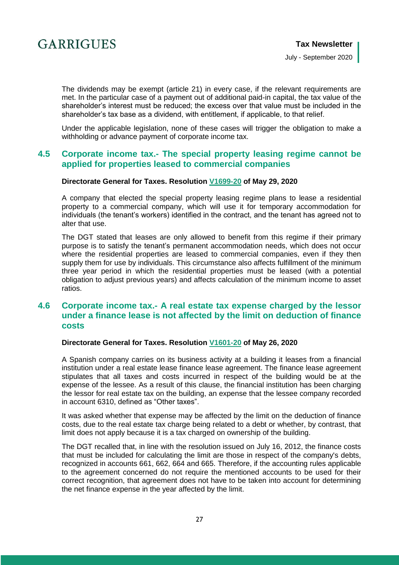The dividends may be exempt (article 21) in every case, if the relevant requirements are met. In the particular case of a payment out of additional paid-in capital, the tax value of the shareholder's interest must be reduced; the excess over that value must be included in the shareholder's tax base as a dividend, with entitlement, if applicable, to that relief.

Under the applicable legislation, none of these cases will trigger the obligation to make a withholding or advance payment of corporate income tax.

### <span id="page-26-0"></span>**4.5 Corporate income tax.- The special property leasing regime cannot be applied for properties leased to commercial companies**

#### **Directorate General for Taxes. Resolution [V1699-20](https://petete.tributos.hacienda.gob.es/consultas/?num_consulta=V1699-20) of May 29, 2020**

A company that elected the special property leasing regime plans to lease a residential property to a commercial company, which will use it for temporary accommodation for individuals (the tenant's workers) identified in the contract, and the tenant has agreed not to alter that use.

The DGT stated that leases are only allowed to benefit from this regime if their primary purpose is to satisfy the tenant's permanent accommodation needs, which does not occur where the residential properties are leased to commercial companies, even if they then supply them for use by individuals. This circumstance also affects fulfillment of the minimum three year period in which the residential properties must be leased (with a potential obligation to adjust previous years) and affects calculation of the minimum income to asset ratios.

### <span id="page-26-1"></span>**4.6 Corporate income tax.- A real estate tax expense charged by the lessor under a finance lease is not affected by the limit on deduction of finance costs**

#### **Directorate General for Taxes. Resolution [V1601-20](https://petete.tributos.hacienda.gob.es/consultas/?num_consulta=V1601-20) of May 26, 2020**

A Spanish company carries on its business activity at a building it leases from a financial institution under a real estate lease finance lease agreement. The finance lease agreement stipulates that all taxes and costs incurred in respect of the building would be at the expense of the lessee. As a result of this clause, the financial institution has been charging the lessor for real estate tax on the building, an expense that the lessee company recorded in account 6310, defined as "Other taxes".

It was asked whether that expense may be affected by the limit on the deduction of finance costs, due to the real estate tax charge being related to a debt or whether, by contrast, that limit does not apply because it is a tax charged on ownership of the building.

The DGT recalled that, in line with the resolution issued on July 16, 2012, the finance costs that must be included for calculating the limit are those in respect of the company's debts, recognized in accounts 661, 662, 664 and 665. Therefore, if the accounting rules applicable to the agreement concerned do not require the mentioned accounts to be used for their correct recognition, that agreement does not have to be taken into account for determining the net finance expense in the year affected by the limit.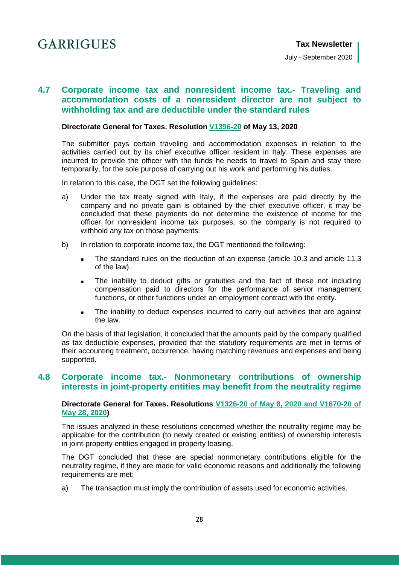## <span id="page-27-0"></span>**4.7 Corporate income tax and nonresident income tax.- Traveling and accommodation costs of a nonresident director are not subject to withholding tax and are deductible under the standard rules**

#### **Directorate General for Taxes. Resolution [V1396-20](https://petete.tributos.hacienda.gob.es/consultas/?num_consulta=V1396-20) of May 13, 2020**

The submitter pays certain traveling and accommodation expenses in relation to the activities carried out by its chief executive officer resident in Italy. These expenses are incurred to provide the officer with the funds he needs to travel to Spain and stay there temporarily, for the sole purpose of carrying out his work and performing his duties.

In relation to this case, the DGT set the following guidelines:

- a) Under the tax treaty signed with Italy, if the expenses are paid directly by the company and no private gain is obtained by the chief executive officer, it may be concluded that these payments do not determine the existence of income for the officer for nonresident income tax purposes, so the company is not required to withhold any tax on those payments.
- b) In relation to corporate income tax, the DGT mentioned the following:
	- The standard rules on the deduction of an expense (article 10.3 and article 11.3 of the law).
	- The inability to deduct gifts or gratuities and the fact of these not including compensation paid to directors for the performance of senior management functions, or other functions under an employment contract with the entity.
	- The inability to deduct expenses incurred to carry out activities that are against the law.

On the basis of that legislation, it concluded that the amounts paid by the company qualified as tax deductible expenses, provided that the statutory requirements are met in terms of their accounting treatment, occurrence, having matching revenues and expenses and being supported.

## <span id="page-27-1"></span>**4.8 Corporate income tax.- Nonmonetary contributions of ownership interests in joint-property entities may benefit from the neutrality regime**

#### **Directorate General for Taxes. Resolutions [V1326-20 of May 8, 2020](https://petete.tributos.hacienda.gob.es/consultas/?num_consulta=V1326-20) and [V1670-20 of](https://petete.tributos.hacienda.gob.es/consultas/?num_consulta=V1670-20)  [May 28, 2020\)](https://petete.tributos.hacienda.gob.es/consultas/?num_consulta=V1670-20)**

The issues analyzed in these resolutions concerned whether the neutrality regime may be applicable for the contribution (to newly created or existing entities) of ownership interests in joint-property entities engaged in property leasing.

The DGT concluded that these are special nonmonetary contributions eligible for the neutrality regime, if they are made for valid economic reasons and additionally the following requirements are met:

a) The transaction must imply the contribution of assets used for economic activities.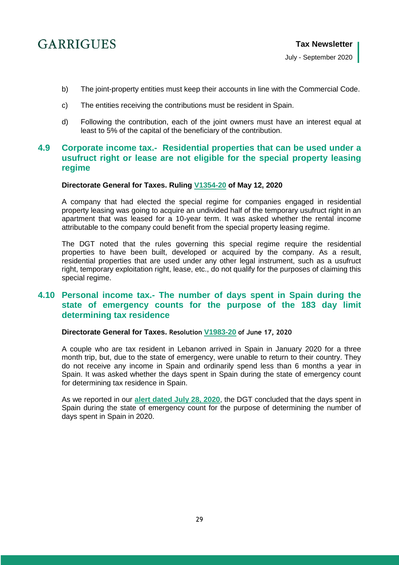- b) The joint-property entities must keep their accounts in line with the Commercial Code.
- c) The entities receiving the contributions must be resident in Spain.
- d) Following the contribution, each of the joint owners must have an interest equal at least to 5% of the capital of the beneficiary of the contribution.

## <span id="page-28-0"></span>**4.9 Corporate income tax.- Residential properties that can be used under a usufruct right or lease are not eligible for the special property leasing regime**

#### **Directorate General for Taxes. Ruling [V1354-20](https://petete.tributos.hacienda.gob.es/consultas/?num_consulta=V1354-20) of May 12, 2020**

A company that had elected the special regime for companies engaged in residential property leasing was going to acquire an undivided half of the temporary usufruct right in an apartment that was leased for a 10-year term. It was asked whether the rental income attributable to the company could benefit from the special property leasing regime.

The DGT noted that the rules governing this special regime require the residential properties to have been built, developed or acquired by the company. As a result, residential properties that are used under any other legal instrument, such as a usufruct right, temporary exploitation right, lease, etc., do not qualify for the purposes of claiming this special regime.

### <span id="page-28-1"></span>**4.10 Personal income tax.- The number of days spent in Spain during the state of emergency counts for the purpose of the 183 day limit determining tax residence**

#### **Directorate General for Taxes. Resolution [V1983-20](https://petete.tributos.hacienda.gob.es/consultas/?num_consulta=V1983-20) of June 17, 2020**

A couple who are tax resident in Lebanon arrived in Spain in January 2020 for a three month trip, but, due to the state of emergency, were unable to return to their country. They do not receive any income in Spain and ordinarily spend less than 6 months a year in Spain. It was asked whether the days spent in Spain during the state of emergency count for determining tax residence in Spain.

<span id="page-28-2"></span>As we reported in our **[alert dated July 28, 2020](https://www.garrigues.com/es_ES/noticia/covid-19-dias-estado-alarma-computaran-determinar-residencia-fiscal-espana)**, the DGT concluded that the days spent in Spain during the state of emergency count for the purpose of determining the number of days spent in Spain in 2020.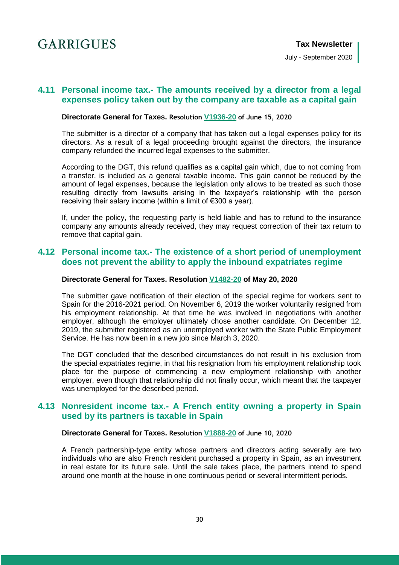July - September 2020

## **4.11 Personal income tax.- The amounts received by a director from a legal expenses policy taken out by the company are taxable as a capital gain**

#### **Directorate General for Taxes. Resolution [V1936-20](https://petete.tributos.hacienda.gob.es/consultas/?num_consulta=V1936-20) of June 15, 2020**

The submitter is a director of a company that has taken out a legal expenses policy for its directors. As a result of a legal proceeding brought against the directors, the insurance company refunded the incurred legal expenses to the submitter.

According to the DGT, this refund qualifies as a capital gain which, due to not coming from a transfer, is included as a general taxable income. This gain cannot be reduced by the amount of legal expenses, because the legislation only allows to be treated as such those resulting directly from lawsuits arising in the taxpayer's relationship with the person receiving their salary income (within a limit of €300 a year).

If, under the policy, the requesting party is held liable and has to refund to the insurance company any amounts already received, they may request correction of their tax return to remove that capital gain.

### <span id="page-29-0"></span>**4.12 Personal income tax.- The existence of a short period of unemployment does not prevent the ability to apply the inbound expatriates regime**

#### **Directorate General for Taxes. Resolution [V1482-20](https://petete.tributos.hacienda.gob.es/consultas/?num_consulta=V1482-20) of May 20, 2020**

The submitter gave notification of their election of the special regime for workers sent to Spain for the 2016-2021 period. On November 6, 2019 the worker voluntarily resigned from his employment relationship. At that time he was involved in negotiations with another employer, although the employer ultimately chose another candidate. On December 12, 2019, the submitter registered as an unemployed worker with the State Public Employment Service. He has now been in a new job since March 3, 2020.

The DGT concluded that the described circumstances do not result in his exclusion from the special expatriates regime, in that his resignation from his employment relationship took place for the purpose of commencing a new employment relationship with another employer, even though that relationship did not finally occur, which meant that the taxpayer was unemployed for the described period.

## <span id="page-29-1"></span>**4.13 Nonresident income tax.- A French entity owning a property in Spain used by its partners is taxable in Spain**

#### **Directorate General for Taxes. Resolution [V1888-20](https://petete.tributos.hacienda.gob.es/consultas/?num_consulta=V1888-20) of June 10, 2020**

A French partnership-type entity whose partners and directors acting severally are two individuals who are also French resident purchased a property in Spain, as an investment in real estate for its future sale. Until the sale takes place, the partners intend to spend around one month at the house in one continuous period or several intermittent periods.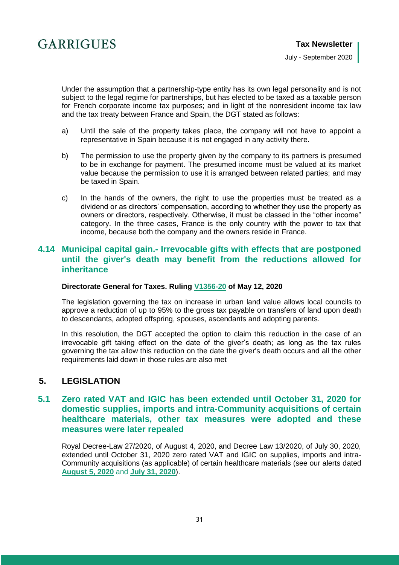

Under the assumption that a partnership-type entity has its own legal personality and is not subject to the legal regime for partnerships, but has elected to be taxed as a taxable person for French corporate income tax purposes; and in light of the nonresident income tax law and the tax treaty between France and Spain, the DGT stated as follows:

- a) Until the sale of the property takes place, the company will not have to appoint a representative in Spain because it is not engaged in any activity there.
- b) The permission to use the property given by the company to its partners is presumed to be in exchange for payment. The presumed income must be valued at its market value because the permission to use it is arranged between related parties; and may be taxed in Spain.
- c) In the hands of the owners, the right to use the properties must be treated as a dividend or as directors' compensation, according to whether they use the property as owners or directors, respectively. Otherwise, it must be classed in the "other income" category. In the three cases, France is the only country with the power to tax that income, because both the company and the owners reside in France.

### <span id="page-30-0"></span>**4.14 Municipal capital gain.- Irrevocable gifts with effects that are postponed until the giver's death may benefit from the reductions allowed for inheritance**

#### **Directorate General for Taxes. Ruling [V1356-20](https://petete.tributos.hacienda.gob.es/consultas/?num_consulta=V1356-20) of May 12, 2020**

The legislation governing the tax on increase in urban land value allows local councils to approve a reduction of up to 95% to the gross tax payable on transfers of land upon death to descendants, adopted offspring, spouses, ascendants and adopting parents.

In this resolution, the DGT accepted the option to claim this reduction in the case of an irrevocable gift taking effect on the date of the giver's death; as long as the tax rules governing the tax allow this reduction on the date the giver's death occurs and all the other requirements laid down in those rules are also met

## <span id="page-30-1"></span>**5. LEGISLATION**

## <span id="page-30-2"></span>**5.1 Zero rated VAT and IGIC has been extended until October 31, 2020 for domestic supplies, imports and intra-Community acquisitions of certain healthcare materials, other tax measures were adopted and these measures were later repealed**

Royal Decree-Law 27/2020, of August 4, 2020, and Decree Law 13/2020, of July 30, 2020, extended until October 31, 2020 zero rated VAT and IGIC on supplies, imports and intra-Community acquisitions (as applicable) of certain healthcare materials (see our alerts dated **[August 5, 2020](https://www.garrigues.com/es_ES/noticia/extiende-31-octubre-2020-tipo-cero-iva-entregas-interiores-importaciones-adquisiciones)** and **[July 31, 2020](https://www.garrigues.com/es_ES/noticia/covid-19-canarias-prorroga-31-octubre-tipo-cero-igic-importacion-entrega-equipos-material)**).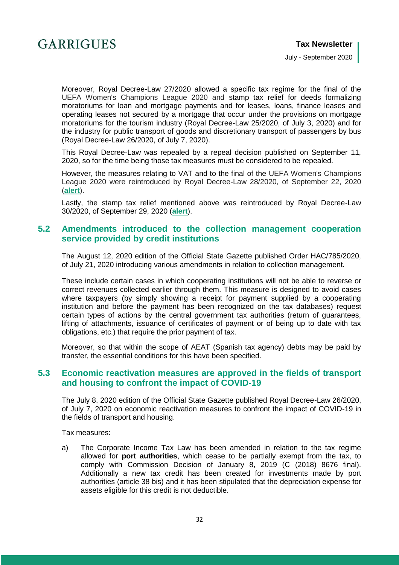

July - September 2020

Moreover, Royal Decree-Law 27/2020 allowed a specific tax regime for the final of the UEFA Women's Champions League 2020 and stamp tax relief for deeds formalizing moratoriums for loan and mortgage payments and for leases, loans, finance leases and operating leases not secured by a mortgage that occur under the provisions on mortgage moratoriums for the tourism industry (Royal Decree-Law 25/2020, of July 3, 2020) and for the industry for public transport of goods and discretionary transport of passengers by bus (Royal Decree-Law 26/2020, of July 7, 2020).

This Royal Decree-Law was repealed by a repeal decision published on September 11, 2020, so for the time being those tax measures must be considered to be repealed.

However, the measures relating to VAT and to the final of the UEFA Women's Champions League 2020 were reintroduced by Royal Decree-Law 28/2020, of September 22, 2020 (**[alert](https://www.garrigues.com/es_ES/noticia/covid-19-extiende-nuevo-31-octubre-2020-tipo-cero-iva-transacciones-determinado-material)**).

Lastly, the stamp tax relief mentioned above was reintroduced by Royal Decree-Law 30/2020, of September 29, 2020 (**[alert](https://www.garrigues.com/es_ES/noticia/covid-19-introduce-nuevo-exencion-ajd-moratorias-hipotecarias-sector-turistico-transporte)**).

### <span id="page-31-0"></span>**5.2 Amendments introduced to the collection management cooperation service provided by credit institutions**

The August 12, 2020 edition of the Official State Gazette published Order HAC/785/2020, of July 21, 2020 introducing various amendments in relation to collection management.

These include certain cases in which cooperating institutions will not be able to reverse or correct revenues collected earlier through them. This measure is designed to avoid cases where taxpayers (by simply showing a receipt for payment supplied by a cooperating institution and before the payment has been recognized on the tax databases) request certain types of actions by the central government tax authorities (return of guarantees, lifting of attachments, issuance of certificates of payment or of being up to date with tax obligations, etc.) that require the prior payment of tax.

Moreover, so that within the scope of AEAT (Spanish tax agency) debts may be paid by transfer, the essential conditions for this have been specified.

### <span id="page-31-1"></span>**5.3 Economic reactivation measures are approved in the fields of transport and housing to confront the impact of COVID-19**

The July 8, 2020 edition of the Official State Gazette published Royal Decree-Law 26/2020, of July 7, 2020 on economic reactivation measures to confront the impact of COVID-19 in the fields of transport and housing.

Tax measures:

a) The Corporate Income Tax Law has been amended in relation to the tax regime allowed for **port authorities**, which cease to be partially exempt from the tax, to comply with Commission Decision of January 8, 2019 (C (2018) 8676 final). Additionally a new tax credit has been created for investments made by port authorities (article 38 bis) and it has been stipulated that the depreciation expense for assets eligible for this credit is not deductible.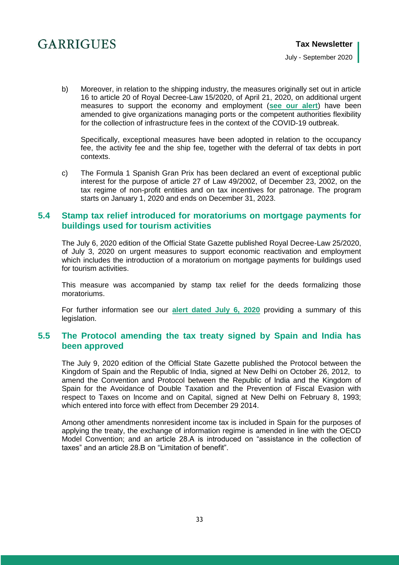b) Moreover, in relation to the shipping industry, the measures originally set out in article 16 to article 20 of Royal Decree-Law 15/2020, of April 21, 2020, on additional urgent measures to support the economy and employment (**[see our alert](https://www.garrigues.com/en_GB/new/covid-19-these-are-additional-urgent-measures-introduced-royal-decree-law-152020-support-economy)**) have been amended to give organizations managing ports or the competent authorities flexibility for the collection of infrastructure fees in the context of the COVID-19 outbreak.

Specifically, exceptional measures have been adopted in relation to the occupancy fee, the activity fee and the ship fee, together with the deferral of tax debts in port contexts.

c) The Formula 1 Spanish Gran Prix has been declared an event of exceptional public interest for the purpose of article 27 of Law 49/2002, of December 23, 2002, on the tax regime of non-profit entities and on tax incentives for patronage. The program starts on January 1, 2020 and ends on December 31, 2023.

### <span id="page-32-0"></span>**5.4 Stamp tax relief introduced for moratoriums on mortgage payments for buildings used for tourism activities**

The July 6, 2020 edition of the Official State Gazette published Royal Decree-Law 25/2020, of July 3, 2020 on urgent measures to support economic reactivation and employment which includes the introduction of a moratorium on mortgage payments for buildings used for tourism activities.

This measure was accompanied by stamp tax relief for the deeds formalizing those moratoriums.

For further information see our **[alert dated July 6, 2020](https://www.garrigues.com/es_ES/noticia/covid-19-moratorias-prestamos-hipotecarios-inmuebles-afectos-actividades-turisticas-estaran)** providing a summary of this legislation.

## <span id="page-32-1"></span>**5.5 The Protocol amending the tax treaty signed by Spain and India has been approved**

The July 9, 2020 edition of the Official State Gazette published the Protocol between the Kingdom of Spain and the Republic of India, signed at New Delhi on October 26, 2012, to amend the Convention and Protocol between the Republic of lndia and the Kingdom of Spain for the Avoidance of Double Taxation and the Prevention of Fiscal Evasion with respect to Taxes on lncome and on Capital, signed at New Delhi on February 8, 1993; which entered into force with effect from December 29 2014.

Among other amendments nonresident income tax is included in Spain for the purposes of applying the treaty, the exchange of information regime is amended in line with the OECD Model Convention; and an article 28.A is introduced on "assistance in the collection of taxes" and an article 28.B on "Limitation of benefit".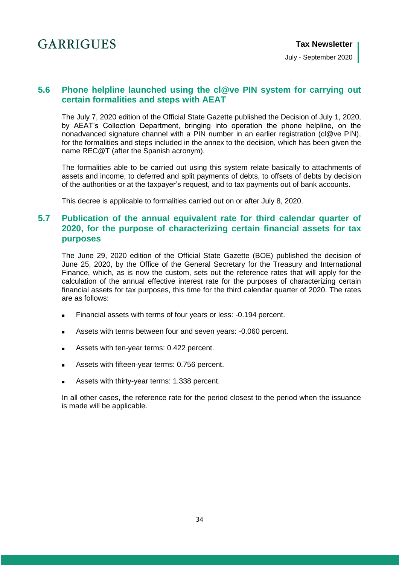July - September 2020

## <span id="page-33-0"></span>**5.6 Phone helpline launched using the cl@ve PIN system for carrying out certain formalities and steps with AEAT**

The July 7, 2020 edition of the Official State Gazette published the Decision of July 1, 2020, by AEAT's Collection Department, bringing into operation the phone helpline, on the nonadvanced signature channel with a PIN number in an earlier registration (cl@ve PIN), for the formalities and steps included in the annex to the decision, which has been given the name REC@T (after the Spanish acronym).

The formalities able to be carried out using this system relate basically to attachments of assets and income, to deferred and split payments of debts, to offsets of debts by decision of the authorities or at the taxpayer's request, and to tax payments out of bank accounts.

This decree is applicable to formalities carried out on or after July 8, 2020.

## <span id="page-33-1"></span>**5.7 Publication of the annual equivalent rate for third calendar quarter of 2020, for the purpose of characterizing certain financial assets for tax purposes**

The June 29, 2020 edition of the Official State Gazette (BOE) published the decision of June 25, 2020, by the Office of the General Secretary for the Treasury and International Finance, which, as is now the custom, sets out the reference rates that will apply for the calculation of the annual effective interest rate for the purposes of characterizing certain financial assets for tax purposes, this time for the third calendar quarter of 2020. The rates are as follows:

- Financial assets with terms of four years or less: -0.194 percent.
- Assets with terms between four and seven years: -0.060 percent.
- Assets with ten-year terms: 0.422 percent.
- Assets with fifteen-year terms: 0.756 percent.
- Assets with thirty-year terms: 1.338 percent.

In all other cases, the reference rate for the period closest to the period when the issuance is made will be applicable.